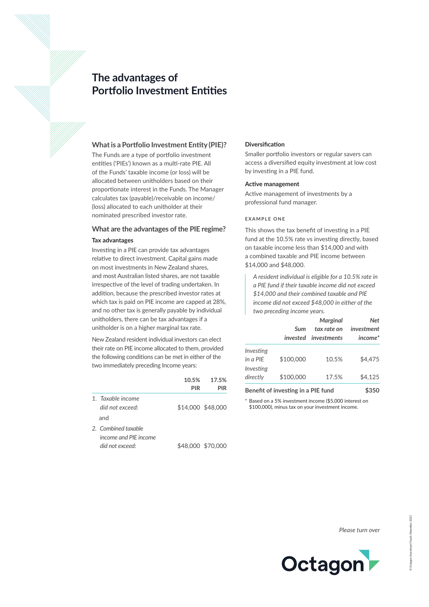# **The advantages of Portfolio Investment Entities**



The Funds are a type of portfolio investment entities ('PIEs') known as a multi-rate PIE. All of the Funds' taxable income (or loss) will be allocated between unitholders based on their proportionate interest in the Funds. The Manager calculates tax (payable)/receivable on income/ (loss) allocated to each unitholder at their nominated prescribed investor rate.

## **What are the advantages of the PIE regime? Tax advantages**

Investing in a PIE can provide tax advantages relative to direct investment. Capital gains made on most investments in New Zealand shares, and most Australian listed shares, are not taxable irrespective of the level of trading undertaken. In addition, because the prescribed investor rates at which tax is paid on PIE income are capped at 28%, and no other tax is generally payable by individual unitholders, there can be tax advantages if a unitholder is on a higher marginal tax rate.

New Zealand resident individual investors can elect their rate on PIE income allocated to them, provided the following conditions can be met in either of the two immediately preceding Income years:

|                                                                 | 10.5%<br>PIR | 17.5%<br>PIR      |
|-----------------------------------------------------------------|--------------|-------------------|
| 1. Taxable income<br>did not exceed:<br>and                     |              | \$14,000 \$48,000 |
| 2. Combined taxable<br>income and PIF income<br>did not exceed: |              | \$48,000 \$70,000 |

## **Diversification**

Smaller portfolio investors or regular savers can access a diversified equity investment at low cost by investing in a PIE fund.

#### **Active management**

Active management of investments by a professional fund manager.

## **EXAMPLE ONE**

This shows the tax benefit of investing in a PIE fund at the 10.5% rate vs investing directly, based on taxable income less than \$14,000 and with a combined taxable and PIE income between \$14,000 and \$48,000.

*A resident individual is eligible for a 10.5% rate in a PIE fund if their taxable income did not exceed \$14,000 and their combined taxable and PIE income did not exceed \$48,000 in either of the two preceding income years.*

| invested  | tax rate on<br>investments | investment<br>$income*$ |
|-----------|----------------------------|-------------------------|
| \$100,000 | 10.5%                      | \$4.475                 |
| \$100,000 | 17.5%                      | \$4.125                 |
|           | Sum                        |                         |

**Benefit of investing in a PIE fund** \$350

Based on a 5% investment income (\$5,000 interest on \$100,000), minus tax on your investment income.

*Please turn over*